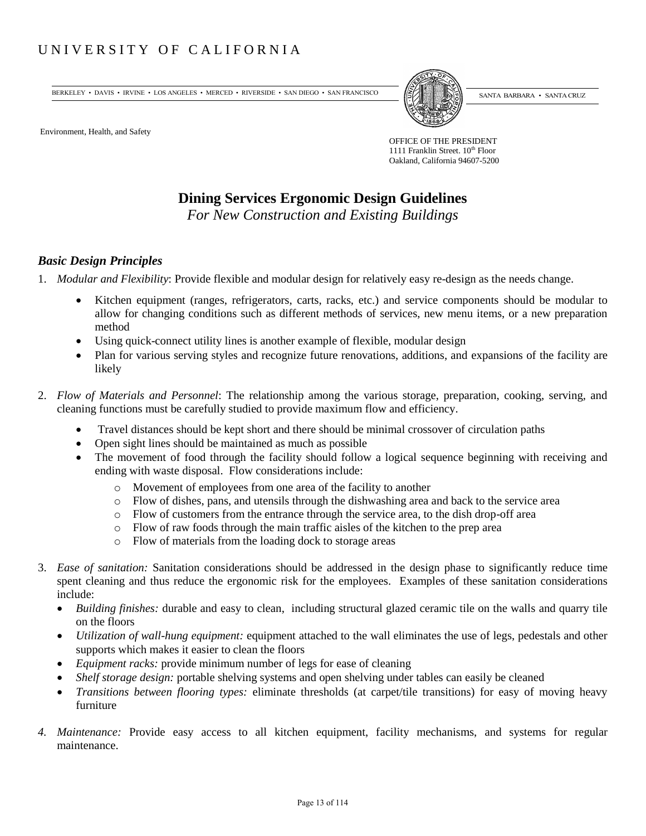# UNIVERSITY OF CALIFORNIA

BERKELEY • DAVIS • IRVINE • LOS ANGELES • MERCED • RIVERSIDE • SAN DIEGO • SAN FRANCISCO (SANTA BARBARA • SANTA CRUZ

Environment, Health, and Safety

OFFICE OF THE PRESIDENT 1111 Franklin Street.  $10^{th}$  Floor Oakland, California 94607-5200

# **Dining Services Ergonomic Design Guidelines**

*For New Construction and Existing Buildings* 

#### *Basic Design Principles*

- 1. *Modular and Flexibility*: Provide flexible and modular design for relatively easy re-design as the needs change.
	- Kitchen equipment (ranges, refrigerators, carts, racks, etc.) and service components should be modular to allow for changing conditions such as different methods of services, new menu items, or a new preparation method
	- Using quick-connect utility lines is another example of flexible, modular design
	- Plan for various serving styles and recognize future renovations, additions, and expansions of the facility are likely
- 2. *Flow of Materials and Personnel*: The relationship among the various storage, preparation, cooking, serving, and cleaning functions must be carefully studied to provide maximum flow and efficiency.
	- Travel distances should be kept short and there should be minimal crossover of circulation paths
	- Open sight lines should be maintained as much as possible
	- The movement of food through the facility should follow a logical sequence beginning with receiving and ending with waste disposal. Flow considerations include:
		- o Movement of employees from one area of the facility to another
		- o Flow of dishes, pans, and utensils through the dishwashing area and back to the service area
		- o Flow of customers from the entrance through the service area, to the dish drop-off area
		- o Flow of raw foods through the main traffic aisles of the kitchen to the prep area
		- o Flow of materials from the loading dock to storage areas
- 3. *Ease of sanitation:* Sanitation considerations should be addressed in the design phase to significantly reduce time spent cleaning and thus reduce the ergonomic risk for the employees. Examples of these sanitation considerations include:
	- *Building finishes:* durable and easy to clean, including structural glazed ceramic tile on the walls and quarry tile on the floors
	- *Utilization of wall-hung equipment:* equipment attached to the wall eliminates the use of legs, pedestals and other supports which makes it easier to clean the floors
	- *Equipment racks:* provide minimum number of legs for ease of cleaning
	- *Shelf storage design:* portable shelving systems and open shelving under tables can easily be cleaned
	- *Transitions between flooring types:* eliminate thresholds (at carpet/tile transitions) for easy of moving heavy furniture
- *4. Maintenance:* Provide easy access to all kitchen equipment, facility mechanisms, and systems for regular maintenance.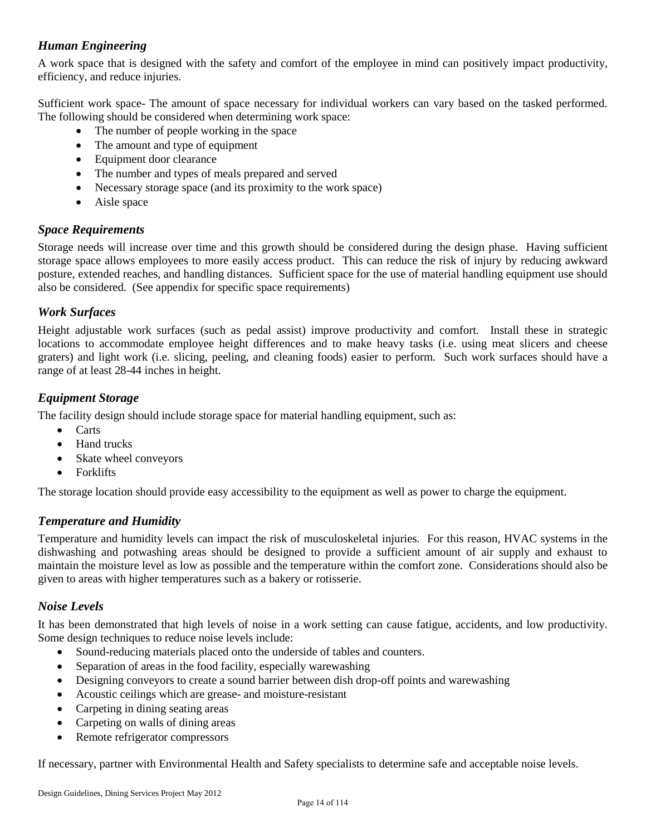# *Human Engineering*

A work space that is designed with the safety and comfort of the employee in mind can positively impact productivity, efficiency, and reduce injuries.

Sufficient work space- The amount of space necessary for individual workers can vary based on the tasked performed. The following should be considered when determining work space:

- The number of people working in the space
- The amount and type of equipment
- Equipment door clearance
- The number and types of meals prepared and served
- Necessary storage space (and its proximity to the work space)
- Aisle space

#### *Space Requirements*

Storage needs will increase over time and this growth should be considered during the design phase. Having sufficient storage space allows employees to more easily access product. This can reduce the risk of injury by reducing awkward posture, extended reaches, and handling distances. Sufficient space for the use of material handling equipment use should also be considered. (See appendix for specific space requirements)

## *Work Surfaces*

Height adjustable work surfaces (such as pedal assist) improve productivity and comfort. Install these in strategic locations to accommodate employee height differences and to make heavy tasks (i.e. using meat slicers and cheese graters) and light work (i.e. slicing, peeling, and cleaning foods) easier to perform. Such work surfaces should have a range of at least 28-44 inches in height.

## *Equipment Storage*

The facility design should include storage space for material handling equipment, such as:

- Carts
- Hand trucks
- Skate wheel conveyors
- Forklifts

The storage location should provide easy accessibility to the equipment as well as power to charge the equipment.

# *Temperature and Humidity*

Temperature and humidity levels can impact the risk of musculoskeletal injuries. For this reason, HVAC systems in the dishwashing and potwashing areas should be designed to provide a sufficient amount of air supply and exhaust to maintain the moisture level as low as possible and the temperature within the comfort zone. Considerations should also be given to areas with higher temperatures such as a bakery or rotisserie.

#### *Noise Levels*

It has been demonstrated that high levels of noise in a work setting can cause fatigue, accidents, and low productivity. Some design techniques to reduce noise levels include:

- Sound-reducing materials placed onto the underside of tables and counters.
- Separation of areas in the food facility, especially warewashing
- Designing conveyors to create a sound barrier between dish drop-off points and warewashing
- Acoustic ceilings which are grease- and moisture-resistant
- Carpeting in dining seating areas
- Carpeting on walls of dining areas
- Remote refrigerator compressors

If necessary, partner with Environmental Health and Safety specialists to determine safe and acceptable noise levels.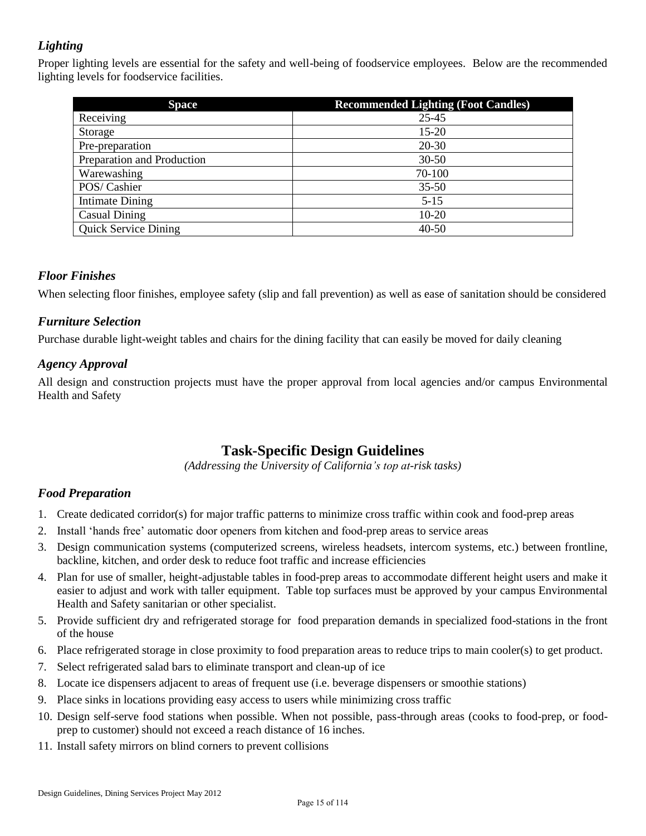# *Lighting*

Proper lighting levels are essential for the safety and well-being of foodservice employees. Below are the recommended lighting levels for foodservice facilities.

| <b>Space</b>                | <b>Recommended Lighting (Foot Candles)</b> |
|-----------------------------|--------------------------------------------|
| Receiving                   | 25-45                                      |
| Storage                     | $15 - 20$                                  |
| Pre-preparation             | $20 - 30$                                  |
| Preparation and Production  | $30 - 50$                                  |
| Warewashing                 | 70-100                                     |
| POS/Cashier                 | $35 - 50$                                  |
| <b>Intimate Dining</b>      | $5-15$                                     |
| <b>Casual Dining</b>        | $10-20$                                    |
| <b>Quick Service Dining</b> | $40 - 50$                                  |

#### *Floor Finishes*

When selecting floor finishes, employee safety (slip and fall prevention) as well as ease of sanitation should be considered

# *Furniture Selection*

Purchase durable light-weight tables and chairs for the dining facility that can easily be moved for daily cleaning

## *Agency Approval*

All design and construction projects must have the proper approval from local agencies and/or campus Environmental Health and Safety

# **Task-Specific Design Guidelines**

*(Addressing the University of California's top at-risk tasks)* 

#### *Food Preparation*

- 1. Create dedicated corridor(s) for major traffic patterns to minimize cross traffic within cook and food-prep areas
- 2. Install 'hands free' automatic door openers from kitchen and food-prep areas to service areas
- 3. Design communication systems (computerized screens, wireless headsets, intercom systems, etc.) between frontline, backline, kitchen, and order desk to reduce foot traffic and increase efficiencies
- 4. Plan for use of smaller, height-adjustable tables in food-prep areas to accommodate different height users and make it easier to adjust and work with taller equipment. Table top surfaces must be approved by your campus Environmental Health and Safety sanitarian or other specialist.
- 5. Provide sufficient dry and refrigerated storage for food preparation demands in specialized food-stations in the front of the house
- 6. Place refrigerated storage in close proximity to food preparation areas to reduce trips to main cooler(s) to get product.
- 7. Select refrigerated salad bars to eliminate transport and clean-up of ice
- 8. Locate ice dispensers adjacent to areas of frequent use (i.e. beverage dispensers or smoothie stations)
- 9. Place sinks in locations providing easy access to users while minimizing cross traffic
- 10. Design self-serve food stations when possible. When not possible, pass-through areas (cooks to food-prep, or foodprep to customer) should not exceed a reach distance of 16 inches.
- 11. Install safety mirrors on blind corners to prevent collisions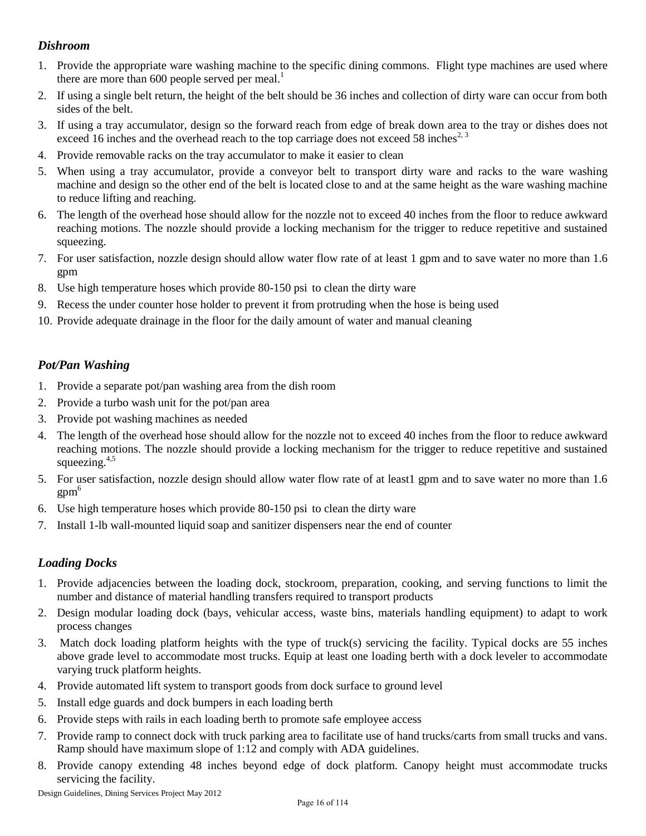# *Dishroom*

- 1. Provide the appropriate ware washing machine to the specific dining commons. Flight type machines are used where there are more than 600 people served per meal.<sup>1</sup>
- 2. If using a single belt return, the height of the belt should be 36 inches and collection of dirty ware can occur from both sides of the belt.
- 3. If using a tray accumulator, design so the forward reach from edge of break down area to the tray or dishes does not exceed 16 inches and the overhead reach to the top carriage does not exceed 58 inches<sup>2, 3</sup>
- 4. Provide removable racks on the tray accumulator to make it easier to clean
- 5. When using a tray accumulator, provide a conveyor belt to transport dirty ware and racks to the ware washing machine and design so the other end of the belt is located close to and at the same height as the ware washing machine to reduce lifting and reaching.
- 6. The length of the overhead hose should allow for the nozzle not to exceed 40 inches from the floor to reduce awkward reaching motions. The nozzle should provide a locking mechanism for the trigger to reduce repetitive and sustained squeezing.
- 7. For user satisfaction, nozzle design should allow water flow rate of at least 1 gpm and to save water no more than 1.6 gpm
- 8. Use high temperature hoses which provide 80-150 psi to clean the dirty ware
- 9. Recess the under counter hose holder to prevent it from protruding when the hose is being used
- 10. Provide adequate drainage in the floor for the daily amount of water and manual cleaning

#### *Pot/Pan Washing*

- 1. Provide a separate pot/pan washing area from the dish room
- 2. Provide a turbo wash unit for the pot/pan area
- 3. Provide pot washing machines as needed
- 4. The length of the overhead hose should allow for the nozzle not to exceed 40 inches from the floor to reduce awkward reaching motions. The nozzle should provide a locking mechanism for the trigger to reduce repetitive and sustained squeezing. $4,5$
- 5. For user satisfaction, nozzle design should allow water flow rate of at least1 gpm and to save water no more than 1.6  $gpm<sup>6</sup>$
- 6. Use high temperature hoses which provide 80-150 psi to clean the dirty ware
- 7. Install 1-lb wall-mounted liquid soap and sanitizer dispensers near the end of counter

#### *Loading Docks*

- 1. Provide adjacencies between the loading dock, stockroom, preparation, cooking, and serving functions to limit the number and distance of material handling transfers required to transport products
- 2. Design modular loading dock (bays, vehicular access, waste bins, materials handling equipment) to adapt to work process changes
- 3. Match dock loading platform heights with the type of truck(s) servicing the facility. Typical docks are 55 inches above grade level to accommodate most trucks. Equip at least one loading berth with a dock leveler to accommodate varying truck platform heights.
- 4. Provide automated lift system to transport goods from dock surface to ground level
- 5. Install edge guards and dock bumpers in each loading berth
- 6. Provide steps with rails in each loading berth to promote safe employee access
- 7. Provide ramp to connect dock with truck parking area to facilitate use of hand trucks/carts from small trucks and vans. Ramp should have maximum slope of 1:12 and comply with ADA guidelines.
- 8. Provide canopy extending 48 inches beyond edge of dock platform. Canopy height must accommodate trucks servicing the facility.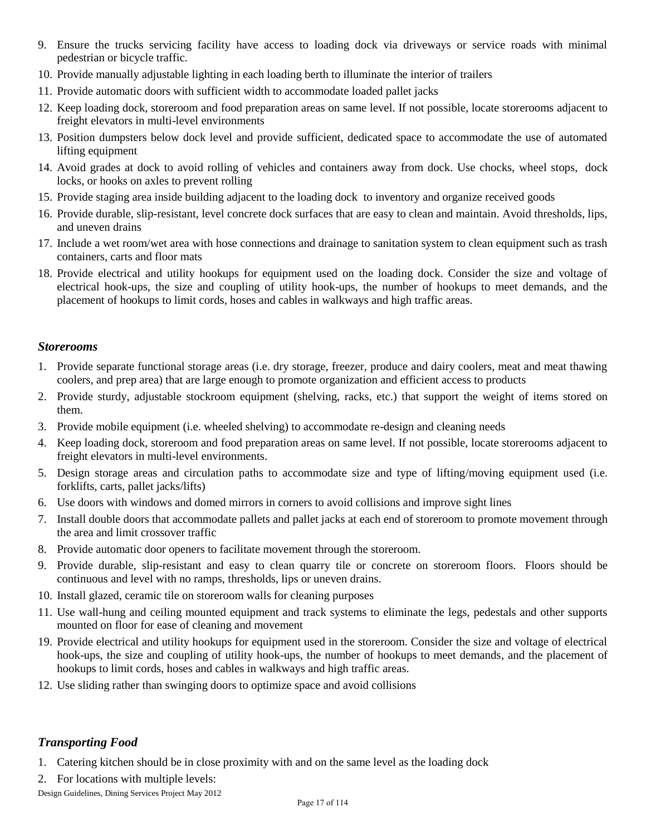- 9. Ensure the trucks servicing facility have access to loading dock via driveways or service roads with minimal pedestrian or bicycle traffic.
- 10. Provide manually adjustable lighting in each loading berth to illuminate the interior of trailers
- 11. Provide automatic doors with sufficient width to accommodate loaded pallet jacks
- 12. Keep loading dock, storeroom and food preparation areas on same level. If not possible, locate storerooms adjacent to freight elevators in multi-level environments
- 13. Position dumpsters below dock level and provide sufficient, dedicated space to accommodate the use of automated lifting equipment
- 14. Avoid grades at dock to avoid rolling of vehicles and containers away from dock. Use chocks, wheel stops, dock locks, or hooks on axles to prevent rolling
- 15. Provide staging area inside building adjacent to the loading dock to inventory and organize received goods
- 16. Provide durable, slip-resistant, level concrete dock surfaces that are easy to clean and maintain. Avoid thresholds, lips, and uneven drains
- 17. Include a wet room/wet area with hose connections and drainage to sanitation system to clean equipment such as trash containers, carts and floor mats
- 18. Provide electrical and utility hookups for equipment used on the loading dock. Consider the size and voltage of electrical hook-ups, the size and coupling of utility hook-ups, the number of hookups to meet demands, and the placement of hookups to limit cords, hoses and cables in walkways and high traffic areas.

#### *Storerooms*

- 1. Provide separate functional storage areas (i.e. dry storage, freezer, produce and dairy coolers, meat and meat thawing coolers, and prep area) that are large enough to promote organization and efficient access to products
- 2. Provide sturdy, adjustable stockroom equipment (shelving, racks, etc.) that support the weight of items stored on them.
- 3. Provide mobile equipment (i.e. wheeled shelving) to accommodate re-design and cleaning needs
- 4. Keep loading dock, storeroom and food preparation areas on same level. If not possible, locate storerooms adjacent to freight elevators in multi-level environments.
- 5. Design storage areas and circulation paths to accommodate size and type of lifting/moving equipment used (i.e. forklifts, carts, pallet jacks/lifts)
- 6. Use doors with windows and domed mirrors in corners to avoid collisions and improve sight lines
- 7. Install double doors that accommodate pallets and pallet jacks at each end of storeroom to promote movement through the area and limit crossover traffic
- 8. Provide automatic door openers to facilitate movement through the storeroom.
- 9. Provide durable, slip-resistant and easy to clean quarry tile or concrete on storeroom floors. Floors should be continuous and level with no ramps, thresholds, lips or uneven drains.
- 10. Install glazed, ceramic tile on storeroom walls for cleaning purposes
- 11. Use wall-hung and ceiling mounted equipment and track systems to eliminate the legs, pedestals and other supports mounted on floor for ease of cleaning and movement
- 19. Provide electrical and utility hookups for equipment used in the storeroom. Consider the size and voltage of electrical hook-ups, the size and coupling of utility hook-ups, the number of hookups to meet demands, and the placement of hookups to limit cords, hoses and cables in walkways and high traffic areas.
- 12. Use sliding rather than swinging doors to optimize space and avoid collisions

#### *Transporting Food*

1. Catering kitchen should be in close proximity with and on the same level as the loading dock

2. For locations with multiple levels:

Design Guidelines, Dining Services Project May 2012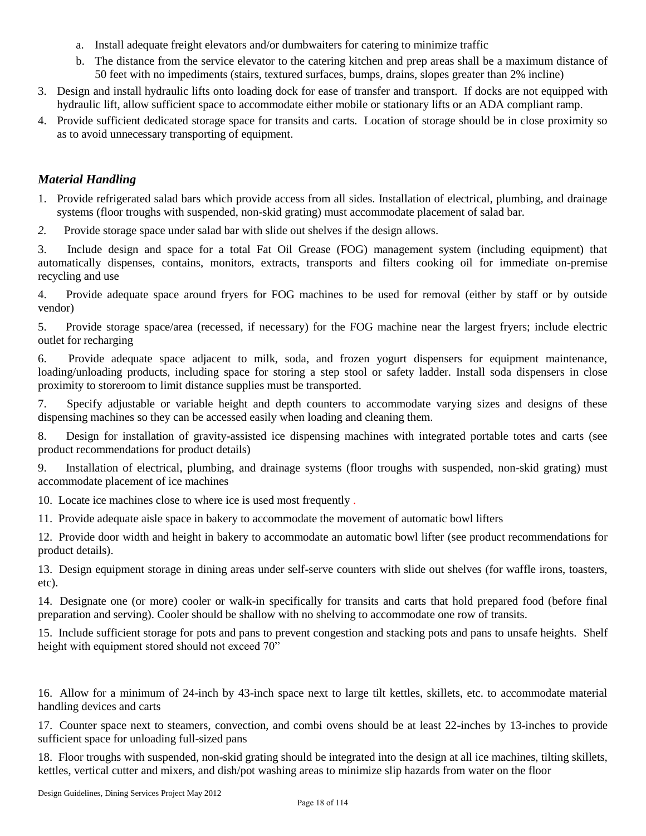- a. Install adequate freight elevators and/or dumbwaiters for catering to minimize traffic
- b. The distance from the service elevator to the catering kitchen and prep areas shall be a maximum distance of 50 feet with no impediments (stairs, textured surfaces, bumps, drains, slopes greater than 2% incline)
- 3. Design and install hydraulic lifts onto loading dock for ease of transfer and transport*.* If docks are not equipped with hydraulic lift, allow sufficient space to accommodate either mobile or stationary lifts or an ADA compliant ramp.
- 4. Provide sufficient dedicated storage space for transits and carts. Location of storage should be in close proximity so as to avoid unnecessary transporting of equipment.

## *Material Handling*

- 1. Provide refrigerated salad bars which provide access from all sides. Installation of electrical, plumbing, and drainage systems (floor troughs with suspended, non-skid grating) must accommodate placement of salad bar.
- *2.* Provide storage space under salad bar with slide out shelves if the design allows.

3. Include design and space for a total Fat Oil Grease (FOG) management system (including equipment) that automatically dispenses, contains, monitors, extracts, transports and filters cooking oil for immediate on-premise recycling and use

4. Provide adequate space around fryers for FOG machines to be used for removal (either by staff or by outside vendor)

5. Provide storage space/area (recessed, if necessary) for the FOG machine near the largest fryers; include electric outlet for recharging

6. Provide adequate space adjacent to milk, soda, and frozen yogurt dispensers for equipment maintenance, loading/unloading products, including space for storing a step stool or safety ladder. Install soda dispensers in close proximity to storeroom to limit distance supplies must be transported.

7. Specify adjustable or variable height and depth counters to accommodate varying sizes and designs of these dispensing machines so they can be accessed easily when loading and cleaning them.

8. Design for installation of gravity-assisted ice dispensing machines with integrated portable totes and carts (see product recommendations for product details)

9. Installation of electrical, plumbing, and drainage systems (floor troughs with suspended, non-skid grating) must accommodate placement of ice machines

10. Locate ice machines close to where ice is used most frequently .

11. Provide adequate aisle space in bakery to accommodate the movement of automatic bowl lifters

12. Provide door width and height in bakery to accommodate an automatic bowl lifter (see product recommendations for product details).

13. Design equipment storage in dining areas under self-serve counters with slide out shelves (for waffle irons, toasters, etc).

14. Designate one (or more) cooler or walk-in specifically for transits and carts that hold prepared food (before final preparation and serving). Cooler should be shallow with no shelving to accommodate one row of transits.

15. Include sufficient storage for pots and pans to prevent congestion and stacking pots and pans to unsafe heights. Shelf height with equipment stored should not exceed 70"

16. Allow for a minimum of 24-inch by 43-inch space next to large tilt kettles, skillets, etc. to accommodate material handling devices and carts

17. Counter space next to steamers, convection, and combi ovens should be at least 22-inches by 13-inches to provide sufficient space for unloading full-sized pans

18. Floor troughs with suspended, non-skid grating should be integrated into the design at all ice machines, tilting skillets, kettles, vertical cutter and mixers, and dish/pot washing areas to minimize slip hazards from water on the floor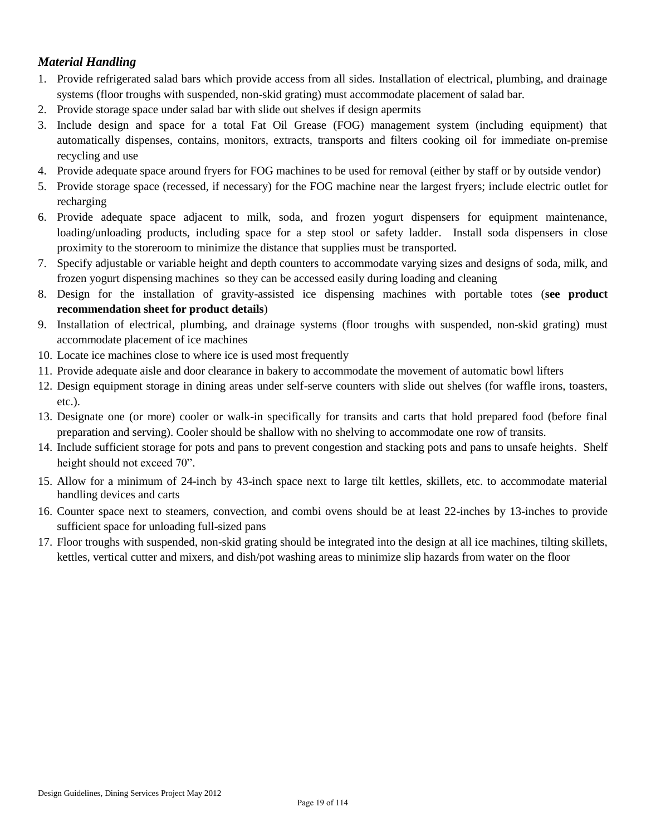# *Material Handling*

- 1. Provide refrigerated salad bars which provide access from all sides. Installation of electrical, plumbing, and drainage systems (floor troughs with suspended, non-skid grating) must accommodate placement of salad bar.
- 2. Provide storage space under salad bar with slide out shelves if design apermits
- 3. Include design and space for a total Fat Oil Grease (FOG) management system (including equipment) that automatically dispenses, contains, monitors, extracts, transports and filters cooking oil for immediate on-premise recycling and use
- 4. Provide adequate space around fryers for FOG machines to be used for removal (either by staff or by outside vendor)
- 5. Provide storage space (recessed, if necessary) for the FOG machine near the largest fryers; include electric outlet for recharging
- 6. Provide adequate space adjacent to milk, soda, and frozen yogurt dispensers for equipment maintenance, loading/unloading products, including space for a step stool or safety ladder. Install soda dispensers in close proximity to the storeroom to minimize the distance that supplies must be transported.
- 7. Specify adjustable or variable height and depth counters to accommodate varying sizes and designs of soda, milk, and frozen yogurt dispensing machines so they can be accessed easily during loading and cleaning
- 8. Design for the installation of gravity-assisted ice dispensing machines with portable totes (**see product recommendation sheet for product details**)
- 9. Installation of electrical, plumbing, and drainage systems (floor troughs with suspended, non-skid grating) must accommodate placement of ice machines
- 10. Locate ice machines close to where ice is used most frequently
- 11. Provide adequate aisle and door clearance in bakery to accommodate the movement of automatic bowl lifters
- 12. Design equipment storage in dining areas under self-serve counters with slide out shelves (for waffle irons, toasters, etc.).
- 13. Designate one (or more) cooler or walk-in specifically for transits and carts that hold prepared food (before final preparation and serving). Cooler should be shallow with no shelving to accommodate one row of transits.
- 14. Include sufficient storage for pots and pans to prevent congestion and stacking pots and pans to unsafe heights. Shelf height should not exceed 70".
- 15. Allow for a minimum of 24-inch by 43-inch space next to large tilt kettles, skillets, etc. to accommodate material handling devices and carts
- 16. Counter space next to steamers, convection, and combi ovens should be at least 22-inches by 13-inches to provide sufficient space for unloading full-sized pans
- 17. Floor troughs with suspended, non-skid grating should be integrated into the design at all ice machines, tilting skillets, kettles, vertical cutter and mixers, and dish/pot washing areas to minimize slip hazards from water on the floor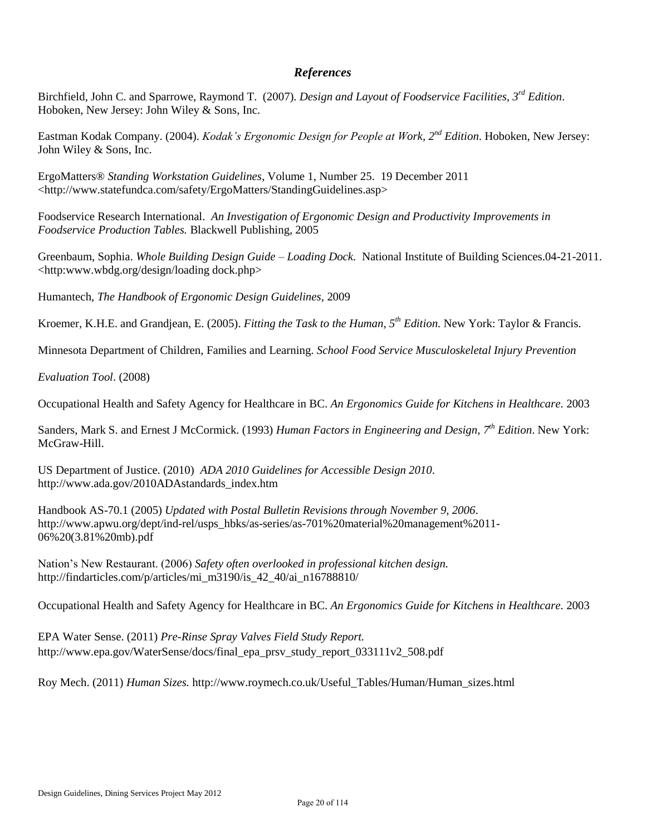#### *References*

Birchfield, John C. and Sparrowe, Raymond T. (2007). *Design and Layout of Foodservice Facilities, 3rd Edition*. Hoboken, New Jersey: John Wiley & Sons, Inc.

 Eastman Kodak Company. (2004). *Kodak's Ergonomic Design for People at Work, 2nd Edition*. Hoboken, New Jersey: John Wiley & Sons, Inc.

ErgoMatters® *Standing Workstation Guidelines*, Volume 1, Number 25. 19 December 2011 <http://www.statefundca.com/safety/ErgoMatters/StandingGuidelines.asp>

Foodservice Research International. *An Investigation of Ergonomic Design and Productivity Improvements in Foodservice Production Tables.* Blackwell Publishing, 2005

Greenbaum, Sophia. *Whole Building Design Guide – Loading Dock.* National Institute of Building Sciences.04-21-2011. <http:www.wbdg.org/design/loading dock.php>

Humantech, *The Handbook of Ergonomic Design Guidelines,* 2009

Kroemer, K.H.E. and Grandjean, E. (2005). *Fitting the Task to the Human, 5th Edition.* New York: Taylor & Francis.

Minnesota Department of Children, Families and Learning. *School Food Service Musculoskeletal Injury Prevention* 

*Evaluation Tool*. (2008)

Occupational Health and Safety Agency for Healthcare in BC. *An Ergonomics Guide for Kitchens in Healthcare.* 2003

Sanders, Mark S. and Ernest J McCormick. (1993) *Human Factors in Engineering and Design, 7th Edition*. New York: McGraw-Hill.

US Department of Justice. (2010) *ADA 2010 Guidelines for Accessible Design 2010*. http://www.ada.gov/2010ADAstandards\_index.htm

Handbook AS-70.1 (2005) *Updated with Postal Bulletin Revisions through November 9, 2006*. http://www.apwu.org/dept/ind-rel/usps\_hbks/as-series/as-701%20material%20management%2011-06%20(3.81%20mb).pdf

Nation's New Restaurant. (2006) *Safety often overlooked in professional kitchen design.* http://findarticles.com/p/articles/mi\_m3190/is\_42\_40/ai\_n16788810/

Occupational Health and Safety Agency for Healthcare in BC. *An Ergonomics Guide for Kitchens in Healthcare.* 2003

EPA Water Sense. (2011) *Pre-Rinse Spray Valves Field Study Report.*  http://www.epa.gov/WaterSense/docs/final\_epa\_prsv\_study\_report\_033111v2\_508.pdf

Roy Mech. (2011) *Human Sizes.* http://www.roymech.co.uk/Useful\_Tables/Human/Human\_sizes.html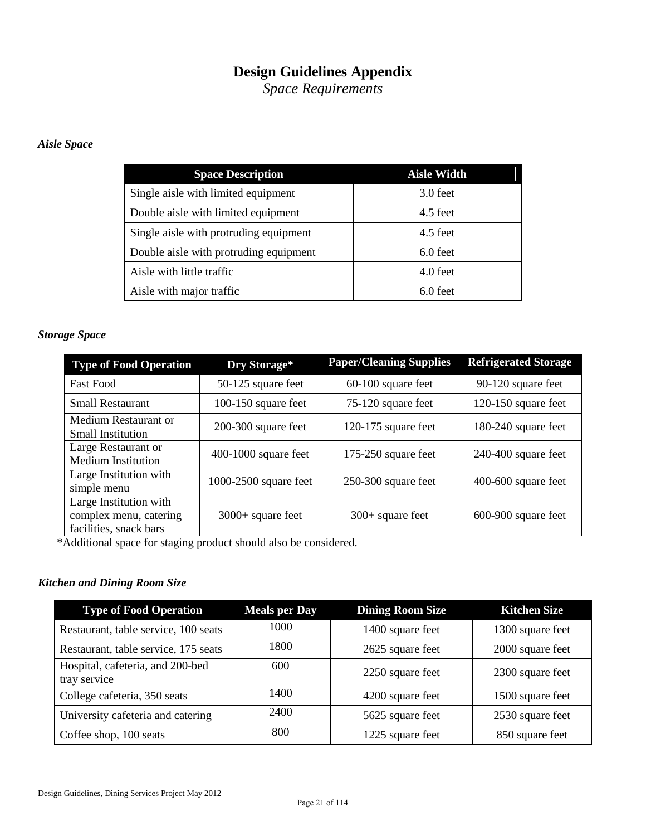# **Design Guidelines Appendix**

*Space Requirements* 

# *Aisle Space*

| <b>Space Description</b>               | <b>Aisle Width</b> |
|----------------------------------------|--------------------|
| Single aisle with limited equipment    | $3.0$ feet         |
| Double aisle with limited equipment    | $4.5$ feet         |
| Single aisle with protruding equipment | $4.5$ feet         |
| Double aisle with protruding equipment | $6.0$ feet         |
| Aisle with little traffic              | $4.0$ feet         |
| Aisle with major traffic               | $6.0$ feet         |

# *Storage Space*

| <b>Type of Food Operation</b>                                              | Dry Storage*            | <b>Paper/Cleaning Supplies</b> | <b>Refrigerated Storage</b> |
|----------------------------------------------------------------------------|-------------------------|--------------------------------|-----------------------------|
| <b>Fast Food</b>                                                           | 50-125 square feet      | 60-100 square feet             | 90-120 square feet          |
| <b>Small Restaurant</b>                                                    | 100-150 square feet     | 75-120 square feet             | 120-150 square feet         |
| Medium Restaurant or<br><b>Small Institution</b>                           | 200-300 square feet     | $120-175$ square feet          | 180-240 square feet         |
| Large Restaurant or<br><b>Medium Institution</b>                           | $400-1000$ square feet  | 175-250 square feet            | $240-400$ square feet       |
| Large Institution with<br>simple menu                                      | $1000-2500$ square feet | $250-300$ square feet          | $400-600$ square feet       |
| Large Institution with<br>complex menu, catering<br>facilities, snack bars | $3000+$ square feet     | $300+$ square feet             | 600-900 square feet         |

\*Additional space for staging product should also be considered.

## *Kitchen and Dining Room Size*

| <b>Type of Food Operation</b>                    | <b>Meals per Day</b> | <b>Dining Room Size</b> | <b>Kitchen Size</b> |
|--------------------------------------------------|----------------------|-------------------------|---------------------|
| Restaurant, table service, 100 seats             | 1000                 | 1400 square feet        | 1300 square feet    |
| Restaurant, table service, 175 seats             | 1800                 | 2625 square feet        | 2000 square feet    |
| Hospital, cafeteria, and 200-bed<br>tray service | 600                  | 2250 square feet        | 2300 square feet    |
| College cafeteria, 350 seats                     | 1400                 | 4200 square feet        | 1500 square feet    |
| University cafeteria and catering                | 2400                 | 5625 square feet        | 2530 square feet    |
| Coffee shop, 100 seats                           | 800                  | 1225 square feet        | 850 square feet     |